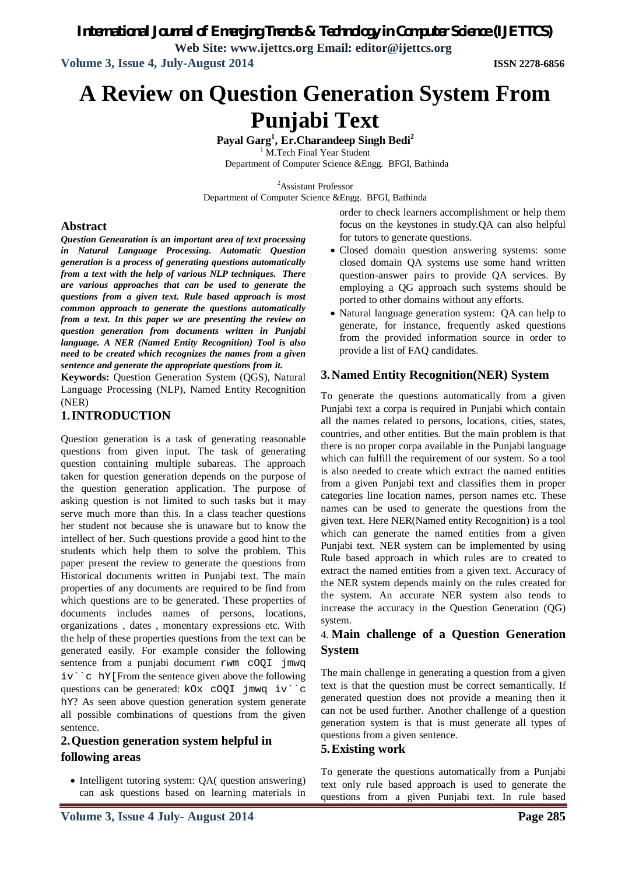*International Journal of Emerging Trends & Technology in Computer Science (IJETTCS)* **Web Site: www.ijettcs.org Email: editor@ijettcs.org**

**Volume 3, Issue 4, July-August 2014 ISSN 2278-6856**

# **A Review on Question Generation System From Punjabi Text**

**Payal Garg<sup>1</sup> , Er.Charandeep Singh Bedi<sup>2</sup>** <sup>1</sup> M.Tech Final Year Student Department of Computer Science &Engg. BFGI, Bathinda

<sup>2</sup>Assistant Professor

Department of Computer Science &Engg. BFGI, Bathinda

# **Abstract**

*Question Genearation is an important area of text processing in Natural Language Processing. Automatic Question generation is a process of generating questions automatically from a text with the help of various NLP techniques. There are various approaches that can be used to generate the questions from a given text. Rule based approach is most common approach to generate the questions automatically from a text. In this paper we are presenting the review on question generation from documents written in Punjabi language. A NER (Named Entity Recognition) Tool is also need to be created which recognizes the names from a given sentence and generate the appropriate questions from it.*

**Keywords:** Question Generation System (QGS), Natural Language Processing (NLP), Named Entity Recognition (NER)

# **1.INTRODUCTION**

Question generation is a task of generating reasonable questions from given input. The task of generating question containing multiple subareas. The approach taken for question generation depends on the purpose of the question generation application. The purpose of asking question is not limited to such tasks but it may serve much more than this. In a class teacher questions her student not because she is unaware but to know the intellect of her. Such questions provide a good hint to the students which help them to solve the problem. This paper present the review to generate the questions from Historical documents written in Punjabi text. The main properties of any documents are required to be find from which questions are to be generated. These properties of documents includes names of persons, locations, organizations , dates , monentary expressions etc. With the help of these properties questions from the text can be generated easily. For example consider the following sentence from a punjabi document rwm cOQI jmwq iv``c hY[From the sentence given above the following questions can be generated: kOx cOQI jmwq iv``c hY? As seen above question generation system generate all possible combinations of questions from the given sentence.

# **2.Question generation system helpful in following areas**

• Intelligent tutoring system: OA( question answering) can ask questions based on learning materials in order to check learners accomplishment or help them focus on the keystones in study.QA can also helpful for tutors to generate questions.

- Closed domain question answering systems: some closed domain QA systems use some hand written question-answer pairs to provide QA services. By employing a QG approach such systems should be ported to other domains without any efforts.
- Natural language generation system: QA can help to generate, for instance, frequently asked questions from the provided information source in order to provide a list of FAQ candidates.

# **3.Named Entity Recognition(NER) System**

To generate the questions automatically from a given Punjabi text a corpa is required in Punjabi which contain all the names related to persons, locations, cities, states, countries, and other entities. But the main problem is that there is no proper corpa available in the Punjabi language which can fulfill the requirement of our system. So a tool is also needed to create which extract the named entities from a given Punjabi text and classifies them in proper categories line location names, person names etc. These names can be used to generate the questions from the given text. Here NER(Named entity Recognition) is a tool which can generate the named entities from a given Punjabi text. NER system can be implemented by using Rule based approach in which rules are to created to extract the named entities from a given text. Accuracy of the NER system depends mainly on the rules created for the system. An accurate NER system also tends to increase the accuracy in the Question Generation (QG) system.

# 4. **Main challenge of a Question Generation System**

The main challenge in generating a question from a given text is that the question must be correct semantically. If generated question does not provide a meaning then it can not be used further. Another challenge of a question generation system is that is must generate all types of questions from a given sentence.

## **5.Existing work**

To generate the questions automatically from a Punjabi text only rule based approach is used to generate the questions from a given Punjabi text. In rule based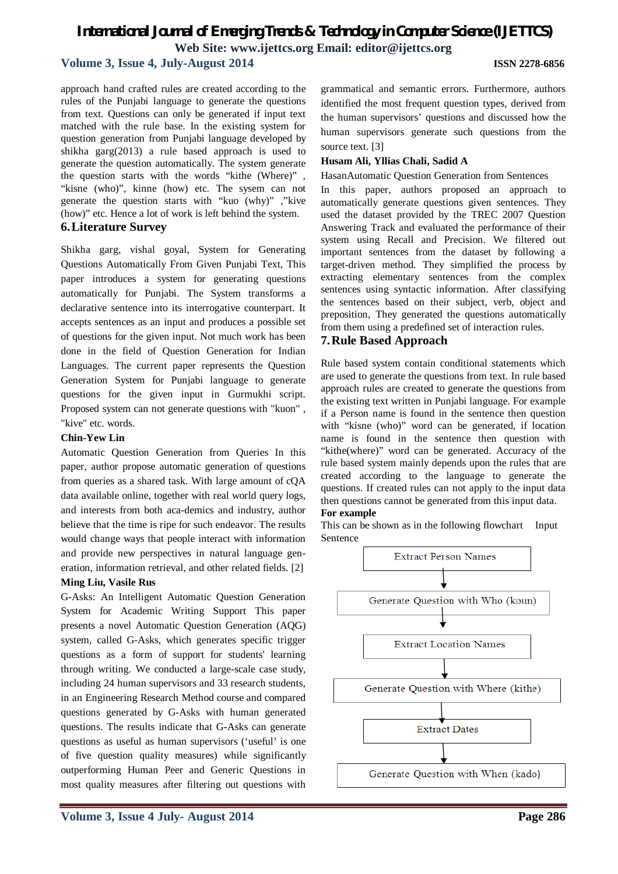# *International Journal of Emerging Trends & Technology in Computer Science (IJETTCS)* **Web Site: www.ijettcs.org Email: editor@ijettcs.org**

## **Volume 3, Issue 4, July-August 2014 ISSN 2278-6856**

approach hand crafted rules are created according to the rules of the Punjabi language to generate the questions from text. Questions can only be generated if input text matched with the rule base. In the existing system for question generation from Punjabi language developed by shikha garg(2013) a rule based approach is used to generate the question automatically. The system generate the question starts with the words "kithe (Where)" , "kisne (who)", kinne (how) etc. The sysem can not generate the question starts with "kuo (why)" ,"kive (how)" etc. Hence a lot of work is left behind the system. **6.Literature Survey**

Shikha garg, vishal goyal, System for Generating Questions Automatically From Given Punjabi Text, This paper introduces a system for generating questions automatically for Punjabi. The System transforms a declarative sentence into its interrogative counterpart. It accepts sentences as an input and produces a possible set of questions for the given input. Not much work has been done in the field of Question Generation for Indian Languages. The current paper represents the Question Generation System for Punjabi language to generate questions for the given input in Gurmukhi script. Proposed system can not generate questions with "kuon" , "kive" etc. words.

#### **Chin-Yew Lin**

Automatic Question Generation from Queries In this paper, author propose automatic generation of questions from queries as a shared task. With large amount of cQA data available online, together with real world query logs, and interests from both aca-demics and industry, author believe that the time is ripe for such endeavor. The results would change ways that people interact with information and provide new perspectives in natural language generation, information retrieval, and other related fields. [2]

# **Ming Liu, Vasile Rus**  G-Asks: An Intelligent Automatic Question Generation System for Academic Writing Support This paper presents a novel Automatic Question Generation (AQG) system, called G-Asks, which generates specific trigger questions as a form of support for students' learning through writing. We conducted a large-scale case study, including 24 human supervisors and 33 research students, in an Engineering Research Method course and compared questions generated by G-Asks with human generated questions. The results indicate that G-Asks can generate questions as useful as human supervisors ('useful' is one of five question quality measures) while significantly outperforming Human Peer and Generic Questions in most quality measures after filtering out questions with

grammatical and semantic errors. Furthermore, authors identified the most frequent question types, derived from the human supervisors' questions and discussed how the human supervisors generate such questions from the source text. [3]

#### **Husam Ali, Yllias Chali, Sadid A**

#### HasanAutomatic Question Generation from Sentences

In this paper, authors proposed an approach to automatically generate questions given sentences. They used the dataset provided by the TREC 2007 Question Answering Track and evaluated the performance of their system using Recall and Precision. We filtered out important sentences from the dataset by following a target-driven method. They simplified the process by extracting elementary sentences from the complex sentences using syntactic information. After classifying the sentences based on their subject, verb, object and preposition, They generated the questions automatically from them using a predefined set of interaction rules.

#### **7.Rule Based Approach**

Rule based system contain conditional statements which are used to generate the questions from text. In rule based approach rules are created to generate the questions from the existing text written in Punjabi language. For example if a Person name is found in the sentence then question with "kisne (who)" word can be generated, if location name is found in the sentence then question with "kithe(where)" word can be generated. Accuracy of the rule based system mainly depends upon the rules that are created according to the language to generate the questions. If created rules can not apply to the input data then questions cannot be generated from this input data.

#### **For example**

This can be shown as in the following flowchart Input Sentence